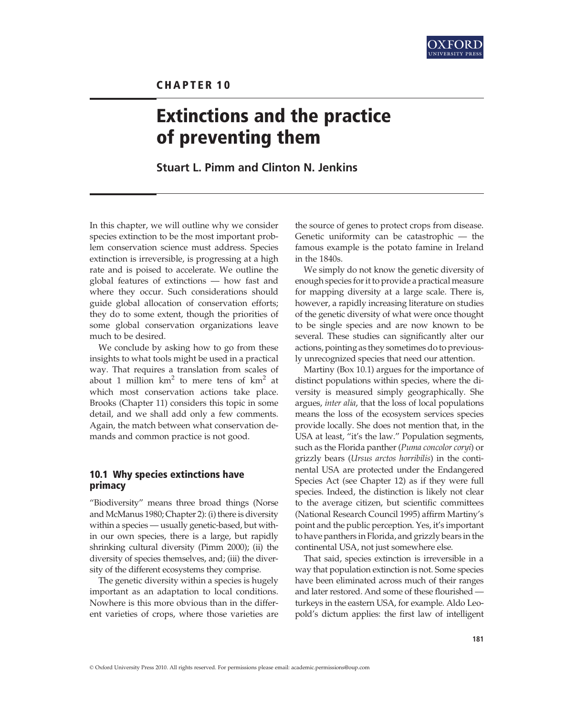**CHAPTER 10** 

# Extinctions and the practice<br>of preventing them of preventing them

Stuart L. Pimm and Clinton N. Jenkins

In this chapter, we will outline why we consider species extinction to be the most important problem conservation science must address. Species extinction is irreversible, is progressing at a high rate and is poised to accelerate. We outline the global features of extinctions — how fast and where they occur. Such considerations should guide global allocation of conservation efforts; they do to some extent, though the priorities of some global conservation organizations leave much to be desired.

We conclude by asking how to go from these insights to what tools might be used in a practical way. That requires a translation from scales of about 1 million  $km^2$  to mere tens of  $km^2$  at which most conservation actions take place. Brooks (Chapter 11) considers this topic in some detail, and we shall add only a few comments. Again, the match between what conservation demands and common practice is not good.

### 10.1 Why species extinctions have<br>primacy primacy

"Biodiversity" means three broad things (Norse and McManus 1980; Chapter 2): (i) there is diversity within a species — usually genetic-based, but within our own species, there is a large, but rapidly shrinking cultural diversity (Pimm 2000); (ii) the diversity of species themselves, and; (iii) the diversity of the different ecosystems they comprise.

The genetic diversity within a species is hugely important as an adaptation to local conditions. Nowhere is this more obvious than in the different varieties of crops, where those varieties are the source of genes to protect crops from disease. Genetic uniformity can be catastrophic — the famous example is the potato famine in Ireland in the 1840s.

We simply do not know the genetic diversity of enough species for it to provide a practical measure for mapping diversity at a large scale. There is, however, a rapidly increasing literature on studies of the genetic diversity of what were once thought to be single species and are now known to be several. These studies can significantly alter our actions, pointing as they sometimes do to previously unrecognized species that need our attention.

Martiny (Box 10.1) argues for the importance of distinct populations within species, where the diversity is measured simply geographically. She argues, inter alia, that the loss of local populations means the loss of the ecosystem services species provide locally. She does not mention that, in the USA at least, "it's the law." Population segments, such as the Florida panther (Puma concolor coryi) or grizzly bears (Ursus arctos horribilis) in the continental USA are protected under the Endangered Species Act (see Chapter 12) as if they were full species. Indeed, the distinction is likely not clear to the average citizen, but scientific committees (National Research Council 1995) affirm Martiny's point and the public perception. Yes, it's important to have panthers in Florida, and grizzly bears in the continental USA, not just somewhere else.

That said, species extinction is irreversible in a way that population extinction is not. Some species have been eliminated across much of their ranges and later restored. And some of these flourished turkeys in the eastern USA, for example. Aldo Leopold's dictum applies: the first law of intelligent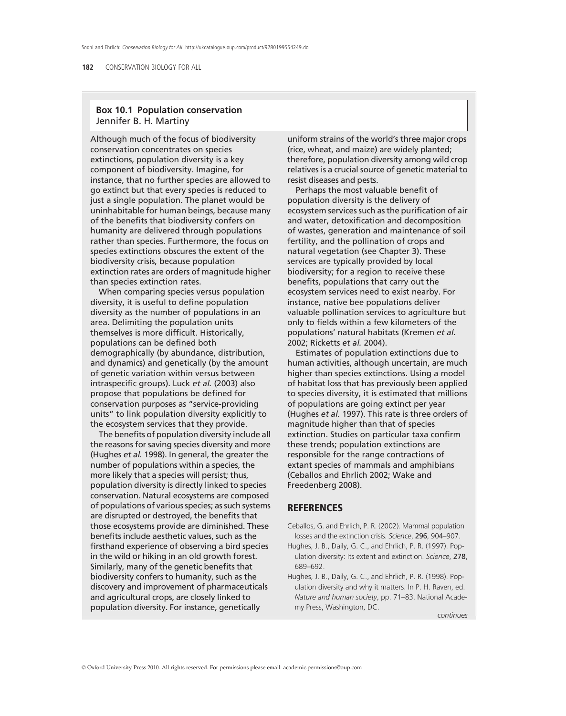#### Box 10.1 Population conservation Jennifer B. H. Martiny

Although much of the focus of biodiversity conservation concentrates on species extinctions, population diversity is a key component of biodiversity. Imagine, for instance, that no further species are allowed to go extinct but that every species is reduced to just a single population. The planet would be uninhabitable for human beings, because many of the benefits that biodiversity confers on humanity are delivered through populations rather than species. Furthermore, the focus on species extinctions obscures the extent of the biodiversity crisis, because population extinction rates are orders of magnitude higher than species extinction rates.

When comparing species versus population diversity, it is useful to define population diversity as the number of populations in an area. Delimiting the population units themselves is more difficult. Historically, populations can be defined both demographically (by abundance, distribution, and dynamics) and genetically (by the amount of genetic variation within versus between intraspecific groups). Luck et al. (2003) also propose that populations be defined for conservation purposes as "service‐providing units" to link population diversity explicitly to the ecosystem services that they provide.

The benefits of population diversity include all the reasons for saving species diversity and more (Hughes et al. 1998). In general, the greater the number of populations within a species, the more likely that a species will persist; thus, population diversity is directly linked to species conservation. Natural ecosystems are composed of populations of various species; as such systems are disrupted or destroyed, the benefits that those ecosystems provide are diminished. These benefits include aesthetic values, such as the firsthand experience of observing a bird species in the wild or hiking in an old growth forest. Similarly, many of the genetic benefits that biodiversity confers to humanity, such as the discovery and improvement of pharmaceuticals and agricultural crops, are closely linked to population diversity. For instance, genetically

uniform strains of the world's three major crops (rice, wheat, and maize) are widely planted; therefore, population diversity among wild crop relatives is a crucial source of genetic material to resist diseases and pests.

Perhaps the most valuable benefit of population diversity is the delivery of ecosystem services such as the purification of air and water, detoxification and decomposition of wastes, generation and maintenance of soil fertility, and the pollination of crops and natural vegetation (see Chapter 3). These services are typically provided by local biodiversity; for a region to receive these benefits, populations that carry out the ecosystem services need to exist nearby. For instance, native bee populations deliver valuable pollination services to agriculture but only to fields within a few kilometers of the populations' natural habitats (Kremen et al. 2002; Ricketts et al. 2004).

Estimates of population extinctions due to human activities, although uncertain, are much higher than species extinctions. Using a model of habitat loss that has previously been applied to species diversity, it is estimated that millions of populations are going extinct per year (Hughes et al. 1997). This rate is three orders of magnitude higher than that of species extinction. Studies on particular taxa confirm these trends; population extinctions are responsible for the range contractions of extant species of mammals and amphibians (Ceballos and Ehrlich 2002; Wake and Freedenberg 2008).

#### **REFERENCES**

- Ceballos, G. and Ehrlich, P. R. (2002). Mammal population losses and the extinction crisis. Science, <sup>296</sup>, 904–907.
- Hughes, J. B., Daily, G. C., and Ehrlich, P. R. (1997). Population diversity: Its extent and extinction. Science, <sup>278</sup>, 689–692.
- Hughes, J. B., Daily, G. C., and Ehrlich, P. R. (1998). Population diversity and why it matters. In P. H. Raven, ed. Nature and human society, pp. 71–83. National Academy Press, Washington, DC.

continues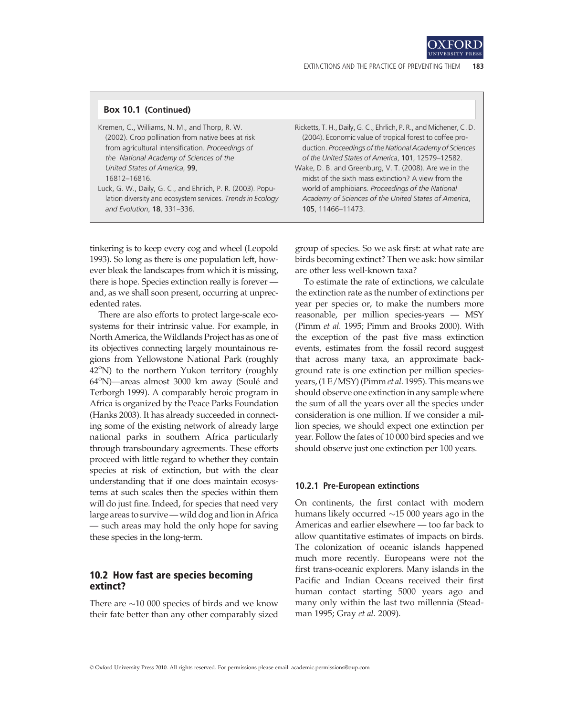**INIVERSITY PRESS** 

EXTINCTIONS AND THE PRACTICE OF PREVENTING THEM 183

#### Box 10.1 (Continued)

Kremen, C., Williams, N. M., and Thorp, R. W. (2002). Crop pollination from native bees at risk from agricultural intensification. Proceedings of<br>the National Academy of Sciences of the United States of America, **99**,<br>16812, 16816 16812–16816.

Luck, G. W., Daily, G. C., and Ehrlich, P. R. (2003). Population diversity and ecosystem services. Trends in Ecology and Evolution, <sup>18</sup>, 331–336.

tinkering is to keep every cog and wheel (Leopold 1993). So long as there is one population left, however bleak the landscapes from which it is missing, there is hope. Species extinction really is forever and, as we shall soon present, occurring at unprecedented rates.

There are also efforts to protect large-scale ecosystems for their intrinsic value. For example, in North America, the Wildlands Project has as one of its objectives connecting largely mountainous regions from Yellowstone National Park (roughly 42°N) to the northern Yukon territory (roughly 64°N)—areas almost 3000 km away (Soulé and Terborgh 1999). A comparably heroic program in Africa is organized by the Peace Parks Foundation (Hanks 2003). It has already succeeded in connecting some of the existing network of already large national parks in southern Africa particularly through transboundary agreements. These efforts proceed with little regard to whether they contain species at risk of extinction, but with the clear understanding that if one does maintain ecosystems at such scales then the species within them will do just fine. Indeed, for species that need very large areas to survive—wild dog and lion in Africa — such areas may hold the only hope for saving these species in the long-term.

# 10.2 How fast are species becoming

There are  $\sim$ 10 000 species of birds and we know their fate better than any other comparably sized Ricketts, T. H., Daily, G. C., Ehrlich, P. R., and Michener, C. D. (2004). Economic value of tropical forest to coffee production. Proceedings of the National Academy of Sciences of the United States of America, <sup>101</sup>, 12579–12582.

Wake, D. B. and Greenburg, V. T. (2008). Are we in the midst of the sixth mass extinction? A view from the world of amphibians. Proceedings of the National Academy of Sciences of the United States of America, 105, 11466–11473.

group of species. So we ask first: at what rate are birds becoming extinct? Then we ask: how similar are other less well-known taxa?

To estimate the rate of extinctions, we calculate the extinction rate as the number of extinctions per year per species or, to make the numbers more reasonable, per million species-years — MSY (Pimm et al. 1995; Pimm and Brooks 2000). With the exception of the past five mass extinction events, estimates from the fossil record suggest that across many taxa, an approximate background rate is one extinction per million speciesyears, (1 E/MSY) (Pimm et al. 1995). This means we should observe one extinction in any sample where the sum of all the years over all the species under consideration is one million. If we consider a million species, we should expect one extinction per year. Follow the fates of 10 000 bird species and we should observe just one extinction per 100 years.

#### 10.2.1 Pre-European extinctions

On continents, the first contact with modern humans likely occurred  $\sim$ 15 000 years ago in the Americas and earlier elsewhere — too far back to allow quantitative estimates of impacts on birds. The colonization of oceanic islands happened much more recently. Europeans were not the first trans-oceanic explorers. Many islands in the Pacific and Indian Oceans received their first human contact starting 5000 years ago and many only within the last two millennia (Steadman 1995; Gray et al. 2009).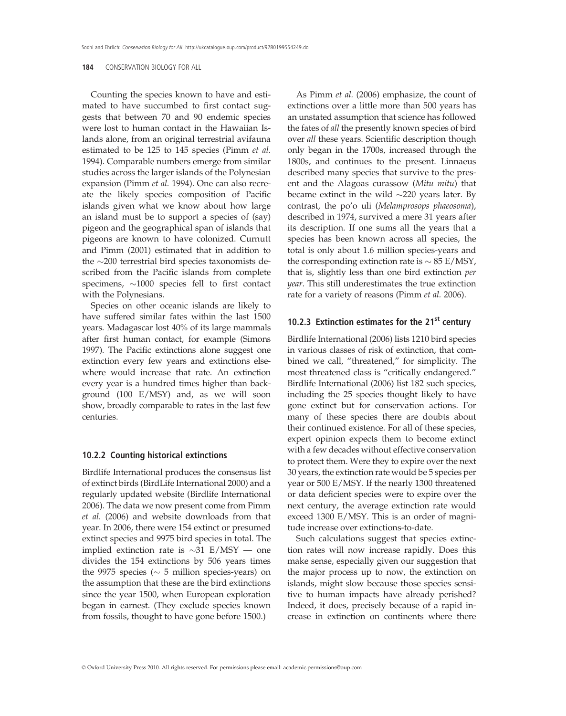Counting the species known to have and estimated to have succumbed to first contact suggests that between 70 and 90 endemic species were lost to human contact in the Hawaiian Islands alone, from an original terrestrial avifauna estimated to be 125 to 145 species (Pimm et al. 1994). Comparable numbers emerge from similar studies across the larger islands of the Polynesian expansion (Pimm et al. 1994). One can also recreate the likely species composition of Pacific islands given what we know about how large an island must be to support a species of (say) pigeon and the geographical span of islands that pigeons are known to have colonized. Curnutt and Pimm (2001) estimated that in addition to the  $\sim$ 200 terrestrial bird species taxonomists described from the Pacific islands from complete specimens,  $\sim$ 1000 species fell to first contact with the Polynesians.

Species on other oceanic islands are likely to have suffered similar fates within the last 1500 years. Madagascar lost 40% of its large mammals after first human contact, for example (Simons 1997). The Pacific extinctions alone suggest one extinction every few years and extinctions elsewhere would increase that rate. An extinction every year is a hundred times higher than background (100 E/MSY) and, as we will soon show, broadly comparable to rates in the last few centuries.

#### 10.2.2 Counting historical extinctions

Birdlife International produces the consensus list of extinct birds (BirdLife International 2000) and a regularly updated website (Birdlife International 2006). The data we now present come from Pimm et al. (2006) and website downloads from that year. In 2006, there were 154 extinct or presumed extinct species and 9975 bird species in total. The implied extinction rate is  $\sim$ 31 E/MSY — one divides the 154 extinctions by 506 years times the 9975 species ( $\sim$  5 million species-years) on the assumption that these are the bird extinctions since the year 1500, when European exploration began in earnest. (They exclude species known from fossils, thought to have gone before 1500.)

As Pimm et al. (2006) emphasize, the count of extinctions over a little more than 500 years has an unstated assumption that science has followed the fates of all the presently known species of bird over all these years. Scientific description though only began in the 1700s, increased through the 1800s, and continues to the present. Linnaeus described many species that survive to the present and the Alagoas curassow (Mitu mitu) that became extinct in the wild  $\sim$ 220 years later. By contrast, the po'o uli (Melamprosops phaeosoma), described in 1974, survived a mere 31 years after its description. If one sums all the years that a species has been known across all species, the total is only about 1.6 million species-years and the corresponding extinction rate is  $\sim 85$  E/MSY, that is, slightly less than one bird extinction per year. This still underestimates the true extinction rate for a variety of reasons (Pimm et al. 2006).

#### 10.2.3 Extinction estimates for the  $21<sup>st</sup>$  century

Birdlife International (2006) lists 1210 bird species in various classes of risk of extinction, that combined we call, "threatened," for simplicity. The most threatened class is "critically endangered." Birdlife International (2006) list 182 such species, including the 25 species thought likely to have gone extinct but for conservation actions. For many of these species there are doubts about their continued existence. For all of these species, expert opinion expects them to become extinct with a few decades without effective conservation to protect them. Were they to expire over the next 30 years, the extinction rate would be 5 species per year or 500 E/MSY. If the nearly 1300 threatened or data deficient species were to expire over the next century, the average extinction rate would exceed 1300 E/MSY. This is an order of magnitude increase over extinctions-to-date.

Such calculations suggest that species extinction rates will now increase rapidly. Does this make sense, especially given our suggestion that the major process up to now, the extinction on islands, might slow because those species sensitive to human impacts have already perished? Indeed, it does, precisely because of a rapid increase in extinction on continents where there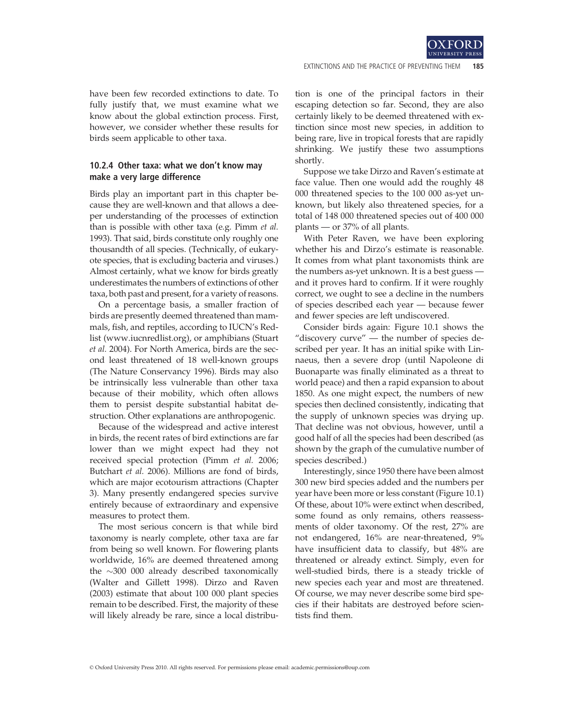

have been few recorded extinctions to date. To fully justify that, we must examine what we know about the global extinction process. First, however, we consider whether these results for birds seem applicable to other taxa.

#### 10.2.4 Other taxa: what we don't know may make a very large difference

Birds play an important part in this chapter because they are well-known and that allows a deeper understanding of the processes of extinction than is possible with other taxa (e.g. Pimm et al. 1993). That said, birds constitute only roughly one thousandth of all species. (Technically, of eukaryote species, that is excluding bacteria and viruses.) Almost certainly, what we know for birds greatly underestimates the numbers of extinctions of other taxa, both past and present, for a variety of reasons.

On a percentage basis, a smaller fraction of birds are presently deemed threatened than mammals, fish, and reptiles, according to IUCN's Redlist (www.iucnredlist.org), or amphibians (Stuart et al. 2004). For North America, birds are the second least threatened of 18 well-known groups (The Nature Conservancy 1996). Birds may also be intrinsically less vulnerable than other taxa because of their mobility, which often allows them to persist despite substantial habitat destruction. Other explanations are anthropogenic.

Because of the widespread and active interest in birds, the recent rates of bird extinctions are far lower than we might expect had they not received special protection (Pimm et al. 2006; Butchart et al. 2006). Millions are fond of birds, which are major ecotourism attractions (Chapter 3). Many presently endangered species survive entirely because of extraordinary and expensive measures to protect them.

The most serious concern is that while bird taxonomy is nearly complete, other taxa are far from being so well known. For flowering plants worldwide, 16% are deemed threatened among the  $\sim$ 300 000 already described taxonomically (Walter and Gillett 1998). Dirzo and Raven (2003) estimate that about 100 000 plant species remain to be described. First, the majority of these will likely already be rare, since a local distribution is one of the principal factors in their escaping detection so far. Second, they are also certainly likely to be deemed threatened with extinction since most new species, in addition to being rare, live in tropical forests that are rapidly shrinking. We justify these two assumptions shortly.

Suppose we take Dirzo and Raven's estimate at face value. Then one would add the roughly 48 000 threatened species to the 100 000 as-yet unknown, but likely also threatened species, for a total of 148 000 threatened species out of 400 000 plants — or 37% of all plants.

With Peter Raven, we have been exploring whether his and Dirzo's estimate is reasonable. It comes from what plant taxonomists think are the numbers as-yet unknown. It is a best guess and it proves hard to confirm. If it were roughly correct, we ought to see a decline in the numbers of species described each year — because fewer and fewer species are left undiscovered.

Consider birds again: Figure 10.1 shows the "discovery curve" — the number of species described per year. It has an initial spike with Linnaeus, then a severe drop (until Napoleone di Buonaparte was finally eliminated as a threat to world peace) and then a rapid expansion to about 1850. As one might expect, the numbers of new species then declined consistently, indicating that the supply of unknown species was drying up. That decline was not obvious, however, until a good half of all the species had been described (as shown by the graph of the cumulative number of species described.)

Interestingly, since 1950 there have been almost 300 new bird species added and the numbers per year have been more or less constant (Figure 10.1) Of these, about 10% were extinct when described, some found as only remains, others reassessments of older taxonomy. Of the rest, 27% are not endangered, 16% are near-threatened, 9% have insufficient data to classify, but 48% are threatened or already extinct. Simply, even for well-studied birds, there is a steady trickle of new species each year and most are threatened. Of course, we may never describe some bird species if their habitats are destroyed before scientists find them.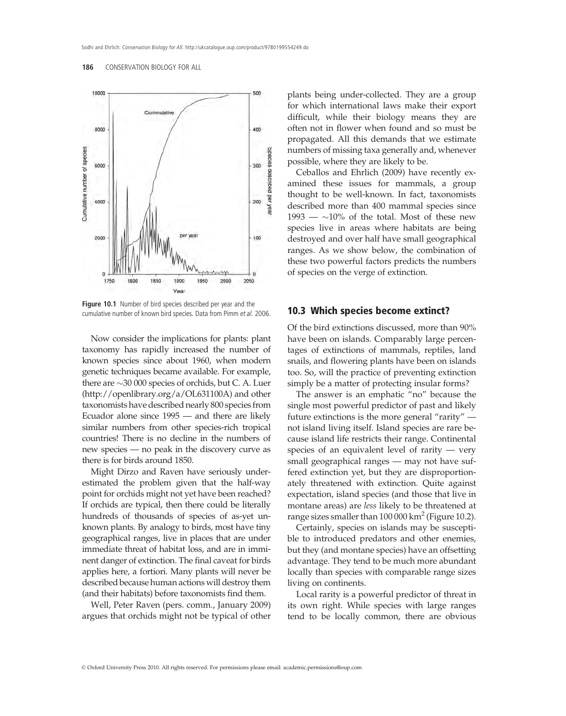

Figure 10.1 Number of bird species described per year and the cumulative number of known bird species. Data from Pimm et al. 2006.

Now consider the implications for plants: plant taxonomy has rapidly increased the number of known species since about 1960, when modern genetic techniques became available. For example, there are  $\sim$  30 000 species of orchids, but C. A. Luer (http://openlibrary.org/a/OL631100A) and other taxonomists have described nearly 800 species from Ecuador alone since 1995 — and there are likely similar numbers from other species-rich tropical countries! There is no decline in the numbers of new species — no peak in the discovery curve as there is for birds around 1850.

Might Dirzo and Raven have seriously underestimated the problem given that the half-way point for orchids might not yet have been reached? If orchids are typical, then there could be literally hundreds of thousands of species of as-yet unknown plants. By analogy to birds, most have tiny geographical ranges, live in places that are under immediate threat of habitat loss, and are in imminent danger of extinction. The final caveat for birds applies here, a fortiori. Many plants will never be described because human actions will destroy them (and their habitats) before taxonomists find them.

Well, Peter Raven (pers. comm., January 2009) argues that orchids might not be typical of other

plants being under-collected. They are a group for which international laws make their export difficult, while their biology means they are often not in flower when found and so must be propagated. All this demands that we estimate numbers of missing taxa generally and, whenever possible, where they are likely to be.

Ceballos and Ehrlich (2009) have recently examined these issues for mammals, a group thought to be well-known. In fact, taxonomists described more than 400 mammal species since 1993 —  $\sim$ 10% of the total. Most of these new species live in areas where habitats are being destroyed and over half have small geographical ranges. As we show below, the combination of these two powerful factors predicts the numbers of species on the verge of extinction.

#### 10.3 Which species become extinct?

10.3 Which species become extinct? Of the bird extinctions discussed, more than 90% have been on islands. Comparably large percentages of extinctions of mammals, reptiles, land snails, and flowering plants have been on islands too. So, will the practice of preventing extinction simply be a matter of protecting insular forms?

The answer is an emphatic "no" because the single most powerful predictor of past and likely future extinctions is the more general "rarity" not island living itself. Island species are rare because island life restricts their range. Continental species of an equivalent level of rarity — very small geographical ranges — may not have suffered extinction yet, but they are disproportionately threatened with extinction. Quite against expectation, island species (and those that live in montane areas) are less likely to be threatened at range sizes smaller than  $100\,000\,\mathrm{km}^2$  (Figure 10.2).

Certainly, species on islands may be susceptible to introduced predators and other enemies, but they (and montane species) have an offsetting advantage. They tend to be much more abundant locally than species with comparable range sizes living on continents.

Local rarity is a powerful predictor of threat in its own right. While species with large ranges tend to be locally common, there are obvious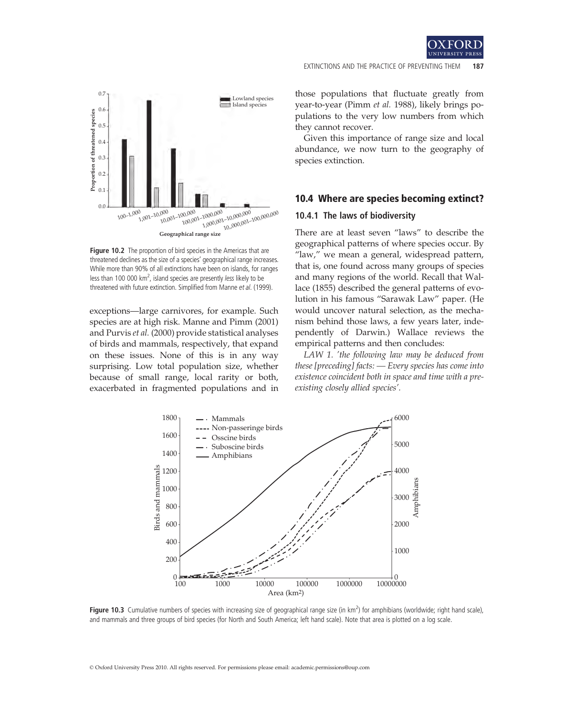



Figure 10.2 The proportion of bird species in the Americas that are threatened declines as the size of a species' geographical range increases. While more than 90% of all extinctions have been on islands, for ranges less than 100 000  $\text{km}^2$ , island species are presently *less* likely to be threatened with future extinction. Simplified from Manne et al. (1998) threatened with future extinction. Simplified from Manne et al. (1999).

exceptions—large carnivores, for example. Such species are at high risk. Manne and Pimm (2001) and Purvis et al. (2000) provide statistical analyses of birds and mammals, respectively, that expand on these issues. None of this is in any way surprising. Low total population size, whether because of small range, local rarity or both, exacerbated in fragmented populations and in those populations that fluctuate greatly from year-to-year (Pimm et al. 1988), likely brings populations to the very low numbers from which they cannot recover.

Given this importance of range size and local abundance, we now turn to the geography of species extinction.

# 10.4.1 The laws of biodiversity

There are at least seven "laws" to describe the geographical patterns of where species occur. By "law," we mean a general, widespread pattern, that is, one found across many groups of species and many regions of the world. Recall that Wallace (1855) described the general patterns of evolution in his famous "Sarawak Law" paper. (He would uncover natural selection, as the mechanism behind those laws, a few years later, independently of Darwin.) Wallace reviews the empirical patterns and then concludes:

LAW 1. 'the following law may be deduced from these [preceding] facts: — Every species has come into existence coincident both in space and time with a preexisting closely allied species'.



Figure 10.3 Cumulative numbers of species with increasing size of geographical range size (in km<sup>2</sup>) for amphibians (worldwide; right hand scale), and mammals and three groups of bird species (for North and South America; left hand scale). Note that area is plotted on a log scale.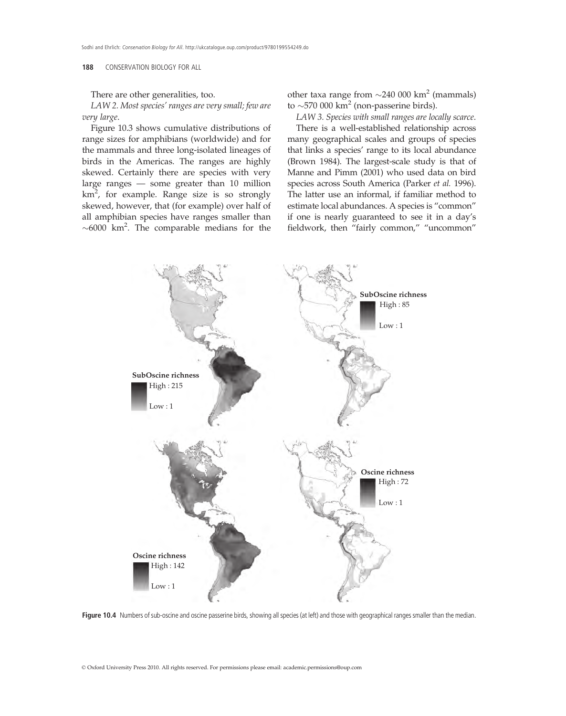#### There are other generalities, too.

LAW 2. Most species' ranges are very small; few are very large.

Figure 10.3 shows cumulative distributions of range sizes for amphibians (worldwide) and for the mammals and three long-isolated lineages of birds in the Americas. The ranges are highly skewed. Certainly there are species with very large ranges — some greater than 10 million km2 , for example. Range size is so strongly skewed, however, that (for example) over half of all amphibian species have ranges smaller than  $\sim$ 6000 km<sup>2</sup>. The comparable medians for the

other taxa range from  $\sim$ 240 000 km<sup>2</sup> (mammals) to  $\sim$ 570 000 km<sup>2</sup> (non-passerine birds).

LAW 3. Species with small ranges are locally scarce. There is a well-established relationship across many geographical scales and groups of species that links a species' range to its local abundance (Brown 1984). The largest-scale study is that of Manne and Pimm (2001) who used data on bird species across South America (Parker et al. 1996). The latter use an informal, if familiar method to estimate local abundances. A species is "common" if one is nearly guaranteed to see it in a day's fieldwork, then "fairly common," "uncommon"



Figure 10.4 Numbers of sub-oscine and oscine passerine birds, showing all species (at left) and those with geographical ranges smaller than the median.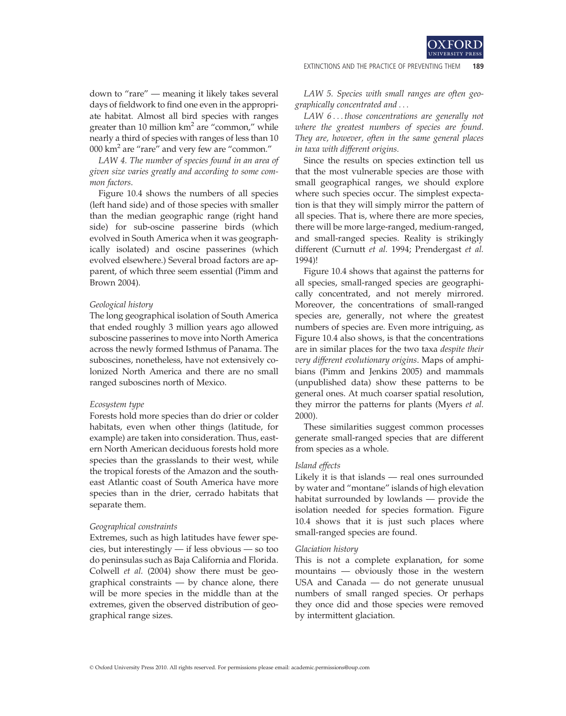down to "rare" — meaning it likely takes several days of fieldwork to find one even in the appropriate habitat. Almost all bird species with ranges greater than 10 million  $km^2$  are "common," while nearly a third of species with ranges of less than 10 000 km2 are "rare" and very few are "common."

LAW 4. The number of species found in an area of given size varies greatly and according to some common factors.

Figure 10.4 shows the numbers of all species (left hand side) and of those species with smaller than the median geographic range (right hand side) for sub-oscine passerine birds (which evolved in South America when it was geographically isolated) and oscine passerines (which evolved elsewhere.) Several broad factors are apparent, of which three seem essential (Pimm and Brown 2004).

#### Geological history

The long geographical isolation of South America that ended roughly 3 million years ago allowed suboscine passerines to move into North America across the newly formed Isthmus of Panama. The suboscines, nonetheless, have not extensively colonized North America and there are no small ranged suboscines north of Mexico.

#### Ecosystem type

Forests hold more species than do drier or colder habitats, even when other things (latitude, for example) are taken into consideration. Thus, eastern North American deciduous forests hold more species than the grasslands to their west, while the tropical forests of the Amazon and the southeast Atlantic coast of South America have more species than in the drier, cerrado habitats that separate them.

#### Geographical constraints

Extremes, such as high latitudes have fewer species, but interestingly — if less obvious — so too do peninsulas such as Baja California and Florida. Colwell et al. (2004) show there must be geographical constraints — by chance alone, there will be more species in the middle than at the extremes, given the observed distribution of geographical range sizes.

LAW 5. Species with small ranges are often geographically concentrated and ...

LAW  $6...$  those concentrations are generally not where the greatest numbers of species are found. They are, however, often in the same general places in taxa with different origins.

Since the results on species extinction tell us that the most vulnerable species are those with small geographical ranges, we should explore where such species occur. The simplest expectation is that they will simply mirror the pattern of all species. That is, where there are more species, there will be more large-ranged, medium-ranged, and small-ranged species. Reality is strikingly different (Curnutt et al. 1994; Prendergast et al. 1994)!

Figure 10.4 shows that against the patterns for all species, small-ranged species are geographically concentrated, and not merely mirrored. Moreover, the concentrations of small-ranged species are, generally, not where the greatest numbers of species are. Even more intriguing, as Figure 10.4 also shows, is that the concentrations are in similar places for the two taxa despite their very different evolutionary origins. Maps of amphibians (Pimm and Jenkins 2005) and mammals (unpublished data) show these patterns to be general ones. At much coarser spatial resolution, they mirror the patterns for plants (Myers et al. 2000).

These similarities suggest common processes generate small-ranged species that are different from species as a whole.

#### Island effects

Likely it is that islands — real ones surrounded by water and "montane" islands of high elevation habitat surrounded by lowlands — provide the isolation needed for species formation. Figure 10.4 shows that it is just such places where small-ranged species are found.

#### Glaciation history

This is not a complete explanation, for some mountains — obviously those in the western USA and Canada — do not generate unusual numbers of small ranged species. Or perhaps they once did and those species were removed by intermittent glaciation.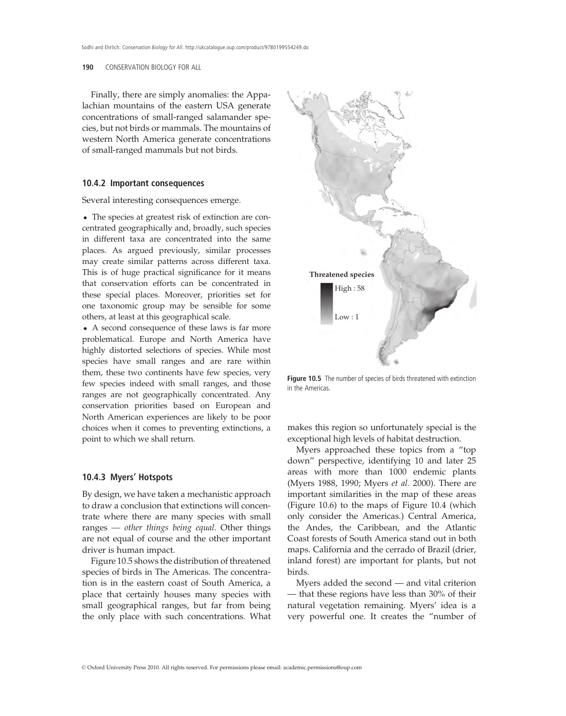Finally, there are simply anomalies: the Appalachian mountains of the eastern USA generate concentrations of small-ranged salamander species, but not birds or mammals. The mountains of western North America generate concentrations of small-ranged mammals but not birds.

#### 10.4.2 Important consequences

Several interesting consequences emerge.

· The species at greatest risk of extinction are concentrated geographically and, broadly, such species in different taxa are concentrated into the same places. As argued previously, similar processes may create similar patterns across different taxa. This is of huge practical significance for it means that conservation efforts can be concentrated in these special places. Moreover, priorities set for one taxonomic group may be sensible for some others, at least at this geographical scale.

· A second consequence of these laws is far more problematical. Europe and North America have highly distorted selections of species. While most species have small ranges and are rare within them, these two continents have few species, very few species indeed with small ranges, and those ranges are not geographically concentrated. Any conservation priorities based on European and North American experiences are likely to be poor choices when it comes to preventing extinctions, a point to which we shall return.

#### 10.4.3 Myers' Hotspots

By design, we have taken a mechanistic approach to draw a conclusion that extinctions will concentrate where there are many species with small ranges — other things being equal. Other things are not equal of course and the other important driver is human impact.

Figure 10.5 shows the distribution of threatened species of birds in The Americas. The concentration is in the eastern coast of South America, a place that certainly houses many species with small geographical ranges, but far from being the only place with such concentrations. What



Figure 10.5 The number of species of birds threatened with extinction in the Americas.

makes this region so unfortunately special is the exceptional high levels of habitat destruction.

Myers approached these topics from a "top down" perspective, identifying 10 and later 25 areas with more than 1000 endemic plants (Myers 1988, 1990; Myers et al. 2000). There are important similarities in the map of these areas (Figure 10.6) to the maps of Figure 10.4 (which only consider the Americas.) Central America, the Andes, the Caribbean, and the Atlantic Coast forests of South America stand out in both maps. California and the cerrado of Brazil (drier, inland forest) are important for plants, but not birds.

Myers added the second — and vital criterion — that these regions have less than 30% of their natural vegetation remaining. Myers' idea is a very powerful one. It creates the "number of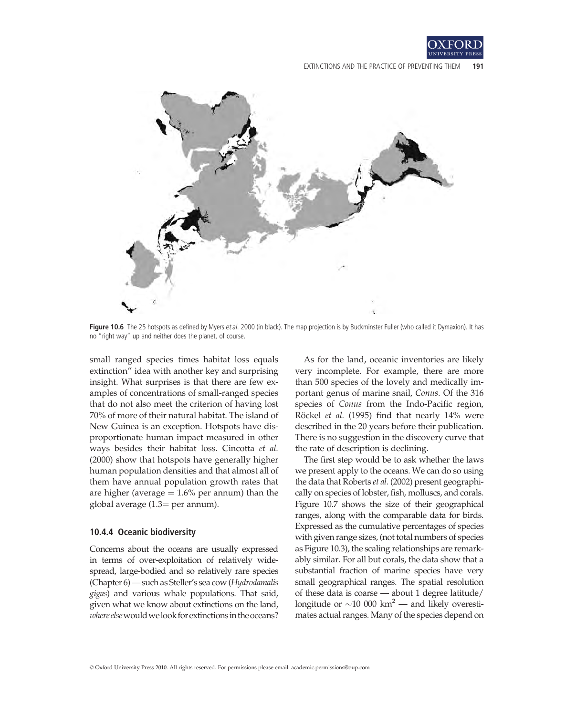



Figure 10.6 The 25 hotspots as defined by Myers et al. 2000 (in black). The map projection is by Buckminster Fuller (who called it Dymaxion). It has no "right way" up and neither does the planet, of course.

small ranged species times habitat loss equals extinction" idea with another key and surprising insight. What surprises is that there are few examples of concentrations of small-ranged species that do not also meet the criterion of having lost 70% of more of their natural habitat. The island of New Guinea is an exception. Hotspots have disproportionate human impact measured in other ways besides their habitat loss. Cincotta et al. (2000) show that hotspots have generally higher human population densities and that almost all of them have annual population growth rates that are higher (average  $= 1.6\%$  per annum) than the global average  $(1.3)$  per annum).

#### 10.4.4 Oceanic biodiversity

Concerns about the oceans are usually expressed in terms of over-exploitation of relatively widespread, large-bodied and so relatively rare species (Chapter 6)—such as Steller's sea cow (Hydrodamalis gigas) and various whale populations. That said, given what we know about extinctions on the land, where else would we look for extinctions in the oceans?

As for the land, oceanic inventories are likely very incomplete. For example, there are more than 500 species of the lovely and medically important genus of marine snail, Conus. Of the 316 species of Conus from the Indo-Pacific region, Röckel et al. (1995) find that nearly 14% were described in the 20 years before their publication. There is no suggestion in the discovery curve that the rate of description is declining.

The first step would be to ask whether the laws we present apply to the oceans. We can do so using the data that Roberts et al. (2002) present geographically on species of lobster, fish, molluscs, and corals. Figure 10.7 shows the size of their geographical ranges, along with the comparable data for birds. Expressed as the cumulative percentages of species with given range sizes, (not total numbers of species as Figure 10.3), the scaling relationships are remarkably similar. For all but corals, the data show that a substantial fraction of marine species have very small geographical ranges. The spatial resolution of these data is coarse — about 1 degree latitude/ longitude or  $\sim$ 10 000 km<sup>2</sup> — and likely overestimates actual ranges. Many of the species depend on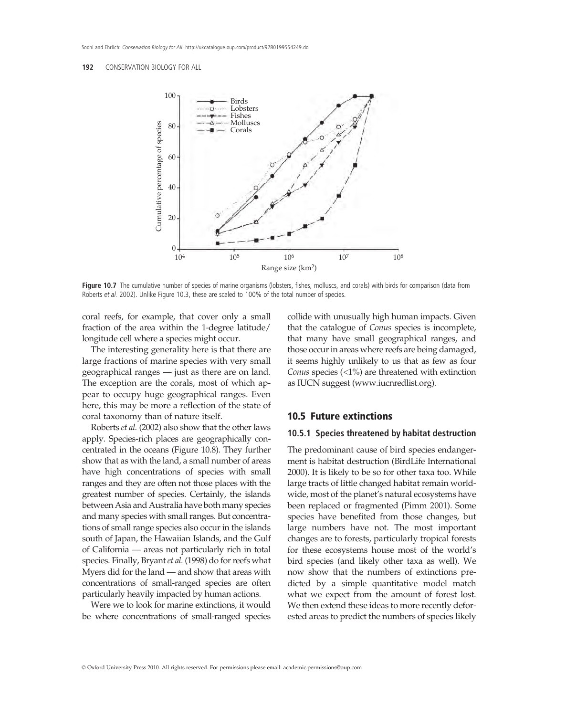

Figure 10.7 The cumulative number of species of marine organisms (lobsters, fishes, molluscs, and corals) with birds for comparison (data from Roberts et al. 2002). Unlike Figure 10.3, these are scaled to 100% of the total number of species.

coral reefs, for example, that cover only a small fraction of the area within the 1-degree latitude/ longitude cell where a species might occur.

The interesting generality here is that there are large fractions of marine species with very small geographical ranges — just as there are on land. The exception are the corals, most of which appear to occupy huge geographical ranges. Even here, this may be more a reflection of the state of coral taxonomy than of nature itself.

Roberts et al. (2002) also show that the other laws apply. Species-rich places are geographically concentrated in the oceans (Figure 10.8). They further show that as with the land, a small number of areas have high concentrations of species with small ranges and they are often not those places with the greatest number of species. Certainly, the islands between Asia and Australia have both many species and many species with small ranges. But concentrations of small range species also occur in the islands south of Japan, the Hawaiian Islands, and the Gulf of California — areas not particularly rich in total species. Finally, Bryant et al. (1998) do for reefs what Myers did for the land — and show that areas with concentrations of small-ranged species are often particularly heavily impacted by human actions.

Were we to look for marine extinctions, it would be where concentrations of small-ranged species

collide with unusually high human impacts. Given that the catalogue of Conus species is incomplete, that many have small geographical ranges, and those occur in areas where reefs are being damaged, it seems highly unlikely to us that as few as four Conus species  $\left\langle \langle 1\% \rangle \right\rangle$  are threatened with extinction as IUCN suggest (www.iucnredlist.org).

### **10.5 Future extinctions**

## 10.5.1 Species threatened by habitat destruction

The predominant cause of bird species endangerment is habitat destruction (BirdLife International 2000). It is likely to be so for other taxa too. While large tracts of little changed habitat remain worldwide, most of the planet's natural ecosystems have been replaced or fragmented (Pimm 2001). Some species have benefited from those changes, but large numbers have not. The most important changes are to forests, particularly tropical forests for these ecosystems house most of the world's bird species (and likely other taxa as well). We now show that the numbers of extinctions predicted by a simple quantitative model match what we expect from the amount of forest lost. We then extend these ideas to more recently deforested areas to predict the numbers of species likely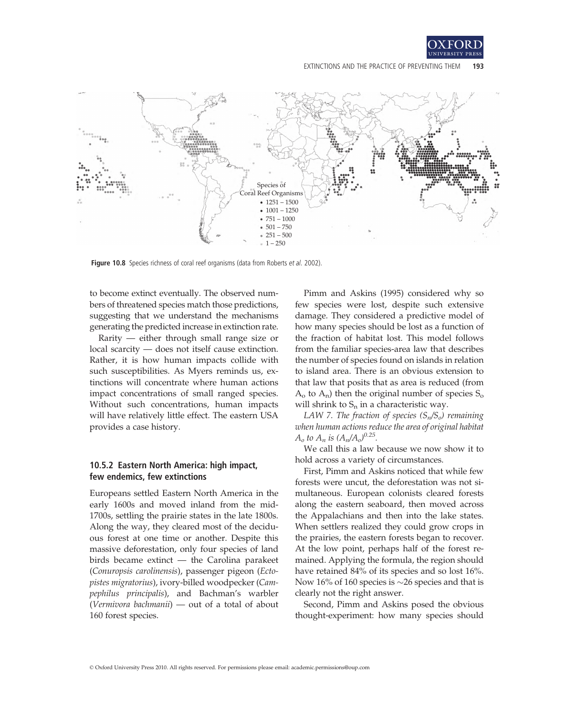EXTINCTIONS AND THE PRACTICE OF PREVENTING THEM 193

**INIVERSITY PRES** 



Figure 10.8 Species richness of coral reef organisms (data from Roberts et al. 2002).

to become extinct eventually. The observed numbers of threatened species match those predictions, suggesting that we understand the mechanisms generating the predicted increase in extinction rate.

Rarity — either through small range size or local scarcity — does not itself cause extinction. Rather, it is how human impacts collide with such susceptibilities. As Myers reminds us, extinctions will concentrate where human actions impact concentrations of small ranged species. Without such concentrations, human impacts will have relatively little effect. The eastern USA provides a case history.

#### 10.5.2 Eastern North America: high impact, few endemics, few extinctions

Europeans settled Eastern North America in the early 1600s and moved inland from the mid-1700s, settling the prairie states in the late 1800s. Along the way, they cleared most of the deciduous forest at one time or another. Despite this massive deforestation, only four species of land birds became extinct — the Carolina parakeet (Conuropsis carolinensis), passenger pigeon (Ectopistes migratorius), ivory-billed woodpecker (Campephilus principalis), and Bachman's warbler (Vermivora bachmanii) — out of a total of about 160 forest species.

Pimm and Askins (1995) considered why so few species were lost, despite such extensive damage. They considered a predictive model of how many species should be lost as a function of the fraction of habitat lost. This model follows from the familiar species-area law that describes the number of species found on islands in relation to island area. There is an obvious extension to that law that posits that as area is reduced (from  $A_0$  to  $A_n$ ) then the original number of species  $S_0$ will shrink to  $S_n$  in a characteristic way.

LAW 7. The fraction of species  $(S_n/S_o)$  remaining when human actions reduce the area of original habitat  $A_o$  to  $A_n$  is  $(A_n/A_o)^{0.25}$ .

We call this a law because we now show it to hold across a variety of circumstances.

First, Pimm and Askins noticed that while few forests were uncut, the deforestation was not simultaneous. European colonists cleared forests along the eastern seaboard, then moved across the Appalachians and then into the lake states. When settlers realized they could grow crops in the prairies, the eastern forests began to recover. At the low point, perhaps half of the forest remained. Applying the formula, the region should have retained 84% of its species and so lost 16%. Now 16% of 160 species is  $\sim$ 26 species and that is clearly not the right answer.

Second, Pimm and Askins posed the obvious thought-experiment: how many species should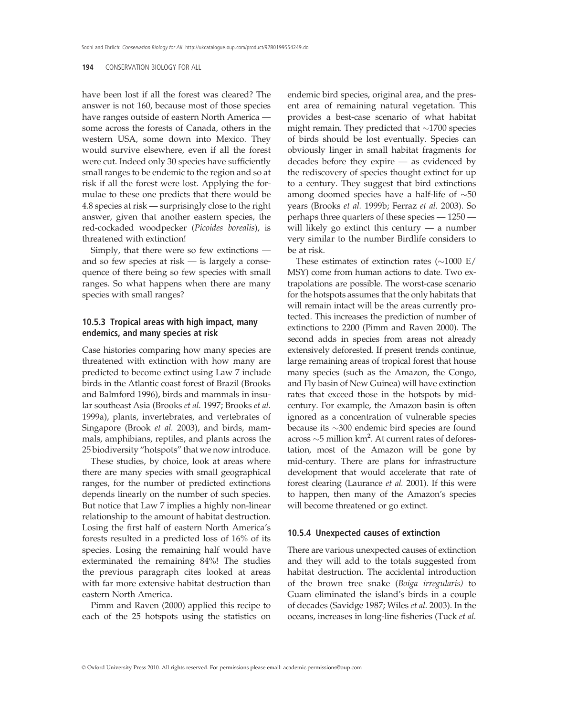have been lost if all the forest was cleared? The answer is not 160, because most of those species have ranges outside of eastern North America some across the forests of Canada, others in the western USA, some down into Mexico. They would survive elsewhere, even if all the forest were cut. Indeed only 30 species have sufficiently small ranges to be endemic to the region and so at risk if all the forest were lost. Applying the formulae to these one predicts that there would be 4.8 species at risk — surprisingly close to the right answer, given that another eastern species, the red-cockaded woodpecker (Picoides borealis), is threatened with extinction!

Simply, that there were so few extinctions and so few species at risk — is largely a consequence of there being so few species with small ranges. So what happens when there are many species with small ranges?

#### 10.5.3 Tropical areas with high impact, many endemics, and many species at risk

Case histories comparing how many species are threatened with extinction with how many are predicted to become extinct using Law 7 include birds in the Atlantic coast forest of Brazil (Brooks and Balmford 1996), birds and mammals in insular southeast Asia (Brooks et al. 1997; Brooks et al. 1999a), plants, invertebrates, and vertebrates of Singapore (Brook et al. 2003), and birds, mammals, amphibians, reptiles, and plants across the 25 biodiversity "hotspots" that we now introduce.

These studies, by choice, look at areas where there are many species with small geographical ranges, for the number of predicted extinctions depends linearly on the number of such species. But notice that Law 7 implies a highly non-linear relationship to the amount of habitat destruction. Losing the first half of eastern North America's forests resulted in a predicted loss of 16% of its species. Losing the remaining half would have exterminated the remaining 84%! The studies the previous paragraph cites looked at areas with far more extensive habitat destruction than eastern North America.

Pimm and Raven (2000) applied this recipe to each of the 25 hotspots using the statistics on endemic bird species, original area, and the present area of remaining natural vegetation. This provides a best-case scenario of what habitat might remain. They predicted that  $\sim$ 1700 species of birds should be lost eventually. Species can obviously linger in small habitat fragments for decades before they expire — as evidenced by the rediscovery of species thought extinct for up to a century. They suggest that bird extinctions among doomed species have a half-life of  $\sim 50$ years (Brooks et al. 1999b; Ferraz et al. 2003). So perhaps three quarters of these species — 1250 will likely go extinct this century — a number very similar to the number Birdlife considers to be at risk.

These estimates of extinction rates  $(\sim 1000 \text{ E/}$ MSY) come from human actions to date. Two extrapolations are possible. The worst-case scenario for the hotspots assumes that the only habitats that will remain intact will be the areas currently protected. This increases the prediction of number of extinctions to 2200 (Pimm and Raven 2000). The second adds in species from areas not already extensively deforested. If present trends continue, large remaining areas of tropical forest that house many species (such as the Amazon, the Congo, and Fly basin of New Guinea) will have extinction rates that exceed those in the hotspots by midcentury. For example, the Amazon basin is often ignored as a concentration of vulnerable species because its  $\sim$ 300 endemic bird species are found  $across \sim 5$  million  $km^2$ . At current rates of deforestation, most of the Amazon will be gone by mid-century. There are plans for infrastructure development that would accelerate that rate of forest clearing (Laurance et al. 2001). If this were to happen, then many of the Amazon's species will become threatened or go extinct.

#### 10.5.4 Unexpected causes of extinction

There are various unexpected causes of extinction and they will add to the totals suggested from habitat destruction. The accidental introduction of the brown tree snake (Boiga irregularis) to Guam eliminated the island's birds in a couple of decades (Savidge 1987; Wiles et al. 2003). In the oceans, increases in long-line fisheries (Tuck et al.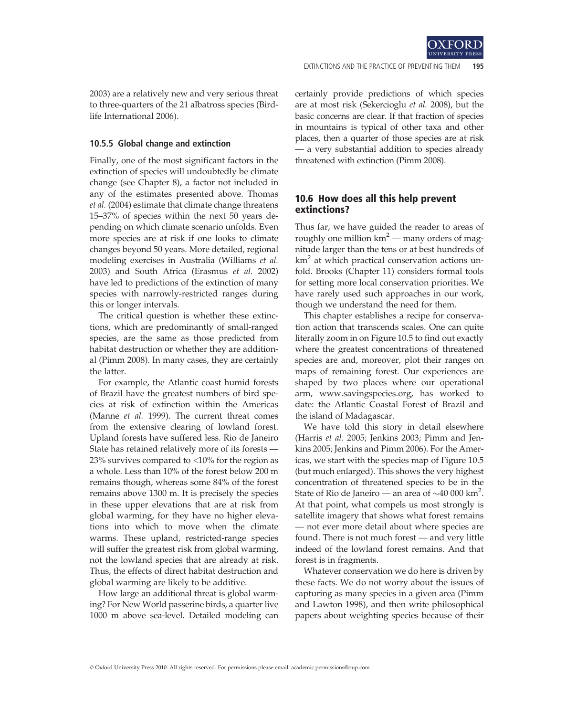

2003) are a relatively new and very serious threat to three-quarters of the 21 albatross species (Birdlife International 2006).

#### 10.5.5 Global change and extinction

Finally, one of the most significant factors in the extinction of species will undoubtedly be climate change (see Chapter 8), a factor not included in any of the estimates presented above. Thomas et al. (2004) estimate that climate change threatens 15–37% of species within the next 50 years depending on which climate scenario unfolds. Even more species are at risk if one looks to climate changes beyond 50 years. More detailed, regional modeling exercises in Australia (Williams et al. 2003) and South Africa (Erasmus et al. 2002) have led to predictions of the extinction of many species with narrowly-restricted ranges during this or longer intervals.

The critical question is whether these extinctions, which are predominantly of small-ranged species, are the same as those predicted from habitat destruction or whether they are additional (Pimm 2008). In many cases, they are certainly the latter.

For example, the Atlantic coast humid forests of Brazil have the greatest numbers of bird species at risk of extinction within the Americas (Manne et al. 1999). The current threat comes from the extensive clearing of lowland forest. Upland forests have suffered less. Rio de Janeiro State has retained relatively more of its forests — 23% survives compared to <10% for the region as a whole. Less than 10% of the forest below 200 m remains though, whereas some 84% of the forest remains above 1300 m. It is precisely the species in these upper elevations that are at risk from global warming, for they have no higher elevations into which to move when the climate warms. These upland, restricted-range species will suffer the greatest risk from global warming, not the lowland species that are already at risk. Thus, the effects of direct habitat destruction and global warming are likely to be additive.

How large an additional threat is global warming? For New World passerine birds, a quarter live 1000 m above sea-level. Detailed modeling can certainly provide predictions of which species are at most risk (Sekercioglu et al. 2008), but the basic concerns are clear. If that fraction of species in mountains is typical of other taxa and other places, then a quarter of those species are at risk — a very substantial addition to species already threatened with extinction (Pimm 2008).

# 10.6 How does all this help prevent

extinctions? Thus far, we have guided the reader to areas of roughly one million  $km^2$  — many orders of magnitude larger than the tens or at best hundreds of km<sup>2</sup> at which practical conservation actions unfold. Brooks (Chapter 11) considers formal tools for setting more local conservation priorities. We have rarely used such approaches in our work, though we understand the need for them.

This chapter establishes a recipe for conservation action that transcends scales. One can quite literally zoom in on Figure 10.5 to find out exactly where the greatest concentrations of threatened species are and, moreover, plot their ranges on maps of remaining forest. Our experiences are shaped by two places where our operational arm, www.savingspecies.org, has worked to date: the Atlantic Coastal Forest of Brazil and the island of Madagascar.

We have told this story in detail elsewhere (Harris et al. 2005; Jenkins 2003; Pimm and Jenkins 2005; Jenkins and Pimm 2006). For the Americas, we start with the species map of Figure 10.5 (but much enlarged). This shows the very highest concentration of threatened species to be in the State of Rio de Janeiro — an area of  $\sim$ 40 000 km<sup>2</sup>. At that point, what compels us most strongly is satellite imagery that shows what forest remains — not ever more detail about where species are found. There is not much forest — and very little indeed of the lowland forest remains. And that forest is in fragments.

Whatever conservation we do here is driven by these facts. We do not worry about the issues of capturing as many species in a given area (Pimm and Lawton 1998), and then write philosophical papers about weighting species because of their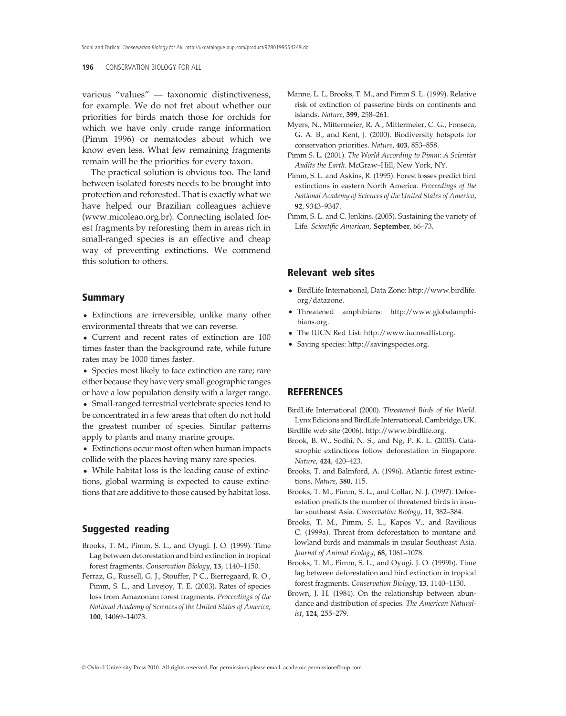various "values" — taxonomic distinctiveness, for example. We do not fret about whether our priorities for birds match those for orchids for which we have only crude range information (Pimm 1996) or nematodes about which we know even less. What few remaining fragments remain will be the priorities for every taxon.

The practical solution is obvious too. The land between isolated forests needs to be brought into protection and reforested. That is exactly what we have helped our Brazilian colleagues achieve (www.micoleao.org.br). Connecting isolated forest fragments by reforesting them in areas rich in small-ranged species is an effective and cheap way of preventing extinctions. We commend this solution to others.

• Extinctions are irreversible, unlike many other environmental threats that we can reverse. environmental threats that we can reverse.

· Current and recent rates of extinction are 100 times faster than the background rate, while future rates may be 1000 times faster.

· Species most likely to face extinction are rare; rare either because they have very small geographic ranges or have a low population density with a larger range.

· Small-ranged terrestrial vertebrate species tend to be concentrated in a few areas that often do not hold the greatest number of species. Similar patterns apply to plants and many marine groups.

· Extinctions occur most often when human impacts collide with the places having many rare species.

· While habitat loss is the leading cause of extinctions, global warming is expected to cause extinctions that are additive to those caused by habitat loss.

# Suggested reading

- Brooks, T. M., Pimm, S. L., and Oyugi. J. O. (1999). Time Lag between deforestation and bird extinction in tropical forest fragments. Conservation Biology, 13, 1140–1150.
- Ferraz, G., Russell, G. J., Stouffer, P C., Bierregaard, R. O., Pimm, S. L., and Lovejoy, T. E. (2003). Rates of species loss from Amazonian forest fragments. Proceedings of the National Academy of Sciences of the United States of America, 100, 14069–14073.
- Manne, L. L, Brooks, T. M., and Pimm S. L. (1999). Relative risk of extinction of passerine birds on continents and islands. Nature, 399, 258–261.
- Myers, N., Mittermeier, R. A., Mittermeier, C. G., Fonseca, G. A. B., and Kent, J. (2000). Biodiversity hotspots for conservation priorities. Nature, 403, 853–858.
- Pimm S. L. (2001). The World According to Pimm: A Scientist Audits the Earth. McGraw–Hill, New York, NY.
- Pimm, S. L. and Askins, R. (1995). Forest losses predict bird extinctions in eastern North America. Proceedings of the National Academy of Sciences of the United States of America, 92, 9343–9347.
- Pimm, S. L. and C. Jenkins. (2005). Sustaining the variety of Life. Scientific American, September, 66–73.

### **Relevant web sites**

- · BirdLife International, Data Zone: http://www.birdlife. org/datazone.
- · Threatened amphibians: http://www.globalamphibians.org.
- · The IUCN Red List: http://www.iucnredlist.org.
- Saving species: http://savingspecies.org.

#### **REFERENCES**

- BirdLife International (2000). Threatened Birds of the World. Lynx Edicions and BirdLife International, Cambridge, UK. Birdlife web site (2006). http://www.birdlife.org.
- Brook, B. W., Sodhi, N. S., and Ng, P. K. L. (2003). Catastrophic extinctions follow deforestation in Singapore. Nature, 424, 420–423.
- Brooks, T. and Balmford, A. (1996). Atlantic forest extinctions, Nature, 380, 115.
- Brooks, T. M., Pimm, S. L., and Collar, N. J. (1997). Deforestation predicts the number of threatened birds in insular southeast Asia. Conservation Biology, 11, 382–384.
- Brooks, T. M., Pimm, S. L., Kapos V., and Ravilious C. (1999a). Threat from deforestation to montane and lowland birds and mammals in insular Southeast Asia. Journal of Animal Ecology, 68, 1061-1078.
- Brooks, T. M., Pimm, S. L., and Oyugi. J. O. (1999b). Time lag between deforestation and bird extinction in tropical forest fragments. Conservation Biology, 13, 1140–1150.
- Brown, J. H. (1984). On the relationship between abundance and distribution of species. The American Naturalist, 124, 255–279.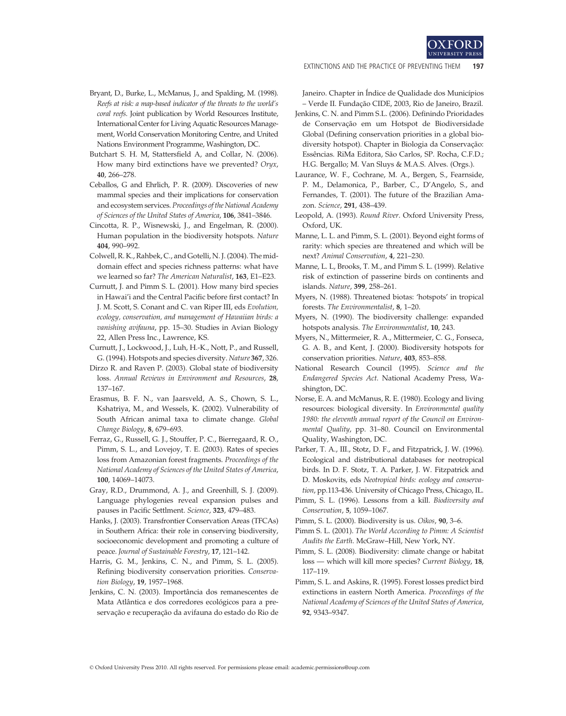

- Bryant, D., Burke, L., McManus, J., and Spalding, M. (1998). Reefs at risk: a map-based indicator of the threats to the world's coral reefs. Joint publication by World Resources Institute, International Center for Living Aquatic Resources Management, World Conservation Monitoring Centre, and United Nations Environment Programme, Washington, DC.
- Butchart S. H. M, Stattersfield A, and Collar, N. (2006). How many bird extinctions have we prevented? Oryx, 40, 266–278.
- Ceballos, G and Ehrlich, P. R. (2009). Discoveries of new mammal species and their implications for conservation and ecosystem services. Proceedings of the National Academy of Sciences of the United States of America, 106, 3841–3846.
- Cincotta, R. P., Wisnewski, J., and Engelman, R. (2000). Human population in the biodiversity hotspots. Nature 404, 990–992.
- Colwell, R. K., Rahbek, C., and Gotelli, N. J. (2004). The middomain effect and species richness patterns: what have we learned so far? The American Naturalist, 163, E1–E23.
- Curnutt, J. and Pimm S. L. (2001). How many bird species in Hawai'i and the Central Pacific before first contact? In J. M. Scott, S. Conant and C. van Riper III, eds Evolution, ecology, conservation, and management of Hawaiian birds: a vanishing avifauna, pp. 15–30. Studies in Avian Biology 22, Allen Press Inc., Lawrence, KS.
- Curnutt, J., Lockwood, J., Luh, H.-K., Nott, P., and Russell, G. (1994). Hotspots and species diversity. Nature 367, 326.
- Dirzo R. and Raven P. (2003). Global state of biodiversity loss. Annual Reviews in Environment and Resources, 28, 137–167.
- Erasmus, B. F. N., van Jaarsveld, A. S., Chown, S. L., Kshatriya, M., and Wessels, K. (2002). Vulnerability of South African animal taxa to climate change. Global Change Biology, 8, 679–693.
- Ferraz, G., Russell, G. J., Stouffer, P. C., Bierregaard, R. O., Pimm, S. L., and Lovejoy, T. E. (2003). Rates of species loss from Amazonian forest fragments. Proceedings of the National Academy of Sciences of the United States of America, 100, 14069–14073.
- Gray, R.D., Drummond, A. J., and Greenhill, S. J. (2009). Language phylogenies reveal expansion pulses and pauses in Pacific Settlment. Science, 323, 479–483.
- Hanks, J. (2003). Transfrontier Conservation Areas (TFCAs) in Southern Africa: their role in conserving biodiversity, socioeconomic development and promoting a culture of peace. Journal of Sustainable Forestry, 17, 121–142.
- Harris, G. M., Jenkins, C. N., and Pimm, S. L. (2005). Refining biodiversity conservation priorities. Conservation Biology, 19, 1957–1968.
- Jenkins, C. N. (2003). Importância dos remanescentes de Mata Atlântica e dos corredores ecológicos para a preservação e recuperação da avifauna do estado do Rio de

Janeiro. Chapter in Índice de Qualidade dos Municípios – Verde II. Fundação CIDE, 2003, Rio de Janeiro, Brazil.

- Jenkins, C. N. and Pimm S.L. (2006). Definindo Prioridades de Conservação em um Hotspot de Biodiversidade Global (Defining conservation priorities in a global biodiversity hotspot). Chapter in Biologia da Conservação: Essências. RiMa Editora, São Carlos, SP. Rocha, C.F.D.; H.G. Bergallo; M. Van Sluys & M.A.S. Alves. (Orgs.).
- Laurance, W. F., Cochrane, M. A., Bergen, S., Fearnside, P. M., Delamonica, P., Barber, C., D'Angelo, S., and Fernandes, T. (2001). The future of the Brazilian Amazon. Science, 291, 438–439.
- Leopold, A. (1993). Round River. Oxford University Press, Oxford, UK.
- Manne, L. L. and Pimm, S. L. (2001). Beyond eight forms of rarity: which species are threatened and which will be next? Animal Conservation, 4, 221–230.
- Manne, L. L, Brooks, T. M., and Pimm S. L. (1999). Relative risk of extinction of passerine birds on continents and islands. Nature, 399, 258–261.
- Myers, N. (1988). Threatened biotas: 'hotspots' in tropical forests. The Environmentalist, 8, 1–20.
- Myers, N. (1990). The biodiversity challenge: expanded hotspots analysis. The Environmentalist, 10, 243.
- Myers, N., Mittermeier, R. A., Mittermeier, C. G., Fonseca, G. A. B., and Kent, J. (2000). Biodiversity hotspots for conservation priorities. Nature, 403, 853–858.
- National Research Council (1995). Science and the Endangered Species Act. National Academy Press, Washington, DC.
- Norse, E. A. and McManus, R. E. (1980). Ecology and living resources: biological diversity. In Environmental quality 1980: the eleventh annual report of the Council on Environmental Quality, pp. 31–80. Council on Environmental Quality, Washington, DC.
- Parker, T. A., III., Stotz, D. F., and Fitzpatrick, J. W. (1996). Ecological and distributional databases for neotropical birds. In D. F. Stotz, T. A. Parker, J. W. Fitzpatrick and D. Moskovits, eds Neotropical birds: ecology and conservation, pp.113-436. University of Chicago Press, Chicago, IL.
- Pimm, S. L. (1996). Lessons from a kill. Biodiversity and Conservation, 5, 1059–1067.
- Pimm, S. L. (2000). Biodiversity is us. Oikos, 90, 3–6.
- Pimm S. L. (2001). The World According to Pimm: A Scientist Audits the Earth. McGraw–Hill, New York, NY.
- Pimm, S. L. (2008). Biodiversity: climate change or habitat loss — which will kill more species? Current Biology, 18, 117–119.
- Pimm, S. L. and Askins, R. (1995). Forest losses predict bird extinctions in eastern North America. Proceedings of the National Academy of Sciences of the United States of America, 92, 9343–9347.